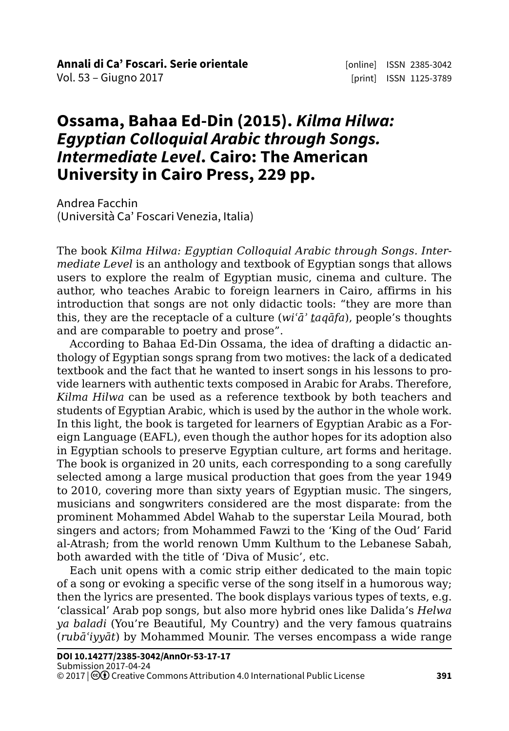## **Ossama, Bahaa Ed-Din (2015).** *Kilma Hilwa: Egyptian Colloquial Arabic through Songs. Intermediate Level***. Cairo: The American University in Cairo Press, 229 pp.**

Andrea Facchin (Università Ca' Foscari Venezia, Italia)

The book *Kilma Hilwa: Egyptian Colloquial Arabic through Songs. Intermediate Level* is an anthology and textbook of Egyptian songs that allows users to explore the realm of Egyptian music, cinema and culture. The author, who teaches Arabic to foreign learners in Cairo, affirms in his introduction that songs are not only didactic tools: "they are more than this, they are the receptacle of a culture (*wiʿāʾ taqāfa*), people's thoughts and are comparable to poetry and prose".

According to Bahaa Ed-Din Ossama, the idea of drafting a didactic anthology of Egyptian songs sprang from two motives: the lack of a dedicated textbook and the fact that he wanted to insert songs in his lessons to provide learners with authentic texts composed in Arabic for Arabs. Therefore, *Kilma Hilwa* can be used as a reference textbook by both teachers and students of Egyptian Arabic, which is used by the author in the whole work. In this light, the book is targeted for learners of Egyptian Arabic as a Foreign Language (EAFL), even though the author hopes for its adoption also in Egyptian schools to preserve Egyptian culture, art forms and heritage. The book is organized in 20 units, each corresponding to a song carefully selected among a large musical production that goes from the year 1949 to 2010, covering more than sixty years of Egyptian music. The singers, musicians and songwriters considered are the most disparate: from the prominent Mohammed Abdel Wahab to the superstar Leila Mourad, both singers and actors; from Mohammed Fawzi to the 'King of the Oud' Farid al-Atrash; from the world renown Umm Kulthum to the Lebanese Sabah, both awarded with the title of 'Diva of Music', etc.

Each unit opens with a comic strip either dedicated to the main topic of a song or evoking a specific verse of the song itself in a humorous way; then the lyrics are presented. The book displays various types of texts, e.g. 'classical' Arab pop songs, but also more hybrid ones like Dalida's *Helwa ya baladi* (You're Beautiful, My Country) and the very famous quatrains (*rubāʿiyyāt*) by Mohammed Mounir. The verses encompass a wide range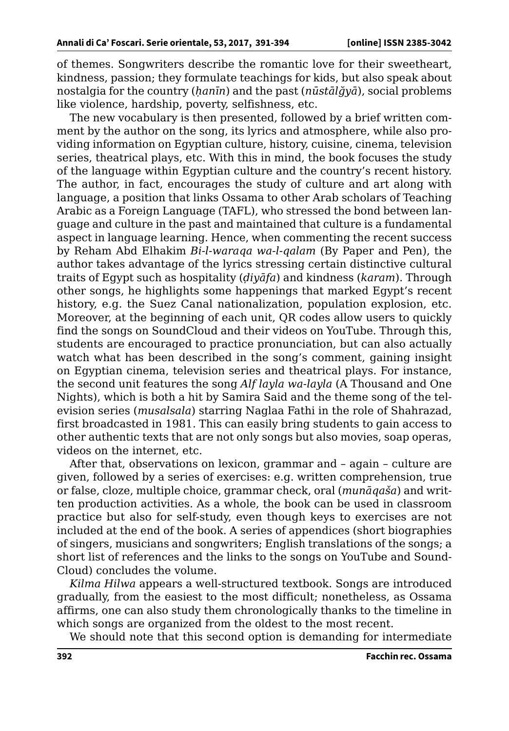of themes. Songwriters describe the romantic love for their sweetheart, kindness, passion; they formulate teachings for kids, but also speak about nostalgia for the country (*ḥanīn*) and the past (*nūstālğyā*), social problems like violence, hardship, poverty, selfishness, etc.

The new vocabulary is then presented, followed by a brief written comment by the author on the song, its lyrics and atmosphere, while also providing information on Egyptian culture, history, cuisine, cinema, television series, theatrical plays, etc. With this in mind, the book focuses the study of the language within Egyptian culture and the country's recent history. The author, in fact, encourages the study of culture and art along with language, a position that links Ossama to other Arab scholars of Teaching Arabic as a Foreign Language (TAFL), who stressed the bond between language and culture in the past and maintained that culture is a fundamental aspect in language learning. Hence, when commenting the recent success by Reham Abd Elhakim *Bi-l-waraqa wa-l-qalam* (By Paper and Pen), the author takes advantage of the lyrics stressing certain distinctive cultural traits of Egypt such as hospitality (*ḍiyāfa*) and kindness (*karam*). Through other songs, he highlights some happenings that marked Egypt's recent history, e.g. the Suez Canal nationalization, population explosion, etc. Moreover, at the beginning of each unit, QR codes allow users to quickly find the songs on SoundCloud and their videos on YouTube. Through this, students are encouraged to practice pronunciation, but can also actually watch what has been described in the song's comment, gaining insight on Egyptian cinema, television series and theatrical plays. For instance, the second unit features the song *Alf layla wa-layla* (A Thousand and One Nights), which is both a hit by Samira Said and the theme song of the television series (*musalsala*) starring Naglaa Fathi in the role of Shahrazad, first broadcasted in 1981. This can easily bring students to gain access to other authentic texts that are not only songs but also movies, soap operas, videos on the internet, etc.

After that, observations on lexicon, grammar and – again – culture are given, followed by a series of exercises: e.g. written comprehension, true or false, cloze, multiple choice, grammar check, oral (*munāqaša*) and written production activities. As a whole, the book can be used in classroom practice but also for self-study, even though keys to exercises are not included at the end of the book. A series of appendices (short biographies of singers, musicians and songwriters; English translations of the songs; a short list of references and the links to the songs on YouTube and Sound-Cloud) concludes the volume.

*Kilma Hilwa* appears a well-structured textbook. Songs are introduced gradually, from the easiest to the most difficult; nonetheless, as Ossama affirms, one can also study them chronologically thanks to the timeline in which songs are organized from the oldest to the most recent.

We should note that this second option is demanding for intermediate